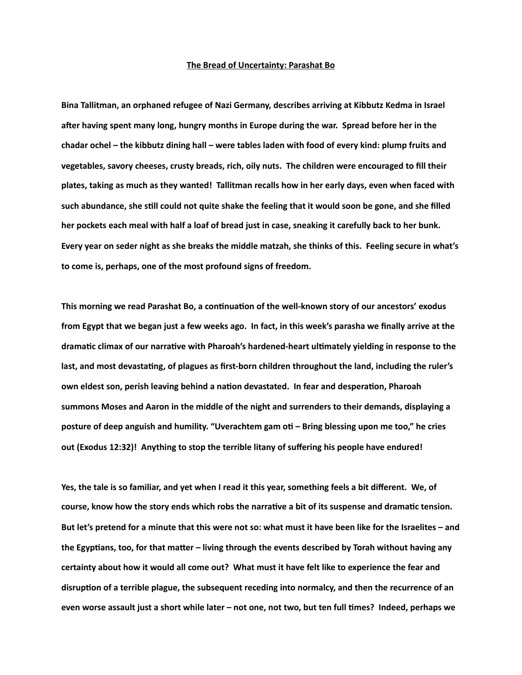## **The Bread of Uncertainty: Parashat Bo**

**Bina Tallitman, an orphaned refugee of Nazi Germany, describes arriving at Kibbutz Kedma in Israel**  after having spent many long, hungry months in Europe during the war. Spread before her in the **chadar ochel – the kibbutz dining hall – were tables laden with food of every kind: plump fruits and vegetables, savory cheeses, crusty breads, rich, oily nuts. The children were encouraged to fill their plates, taking as much as they wanted! Tallitman recalls how in her early days, even when faced with**  such abundance, she still could not quite shake the feeling that it would soon be gone, and she filled **her pockets each meal with half a loaf of bread just in case, sneaking it carefully back to her bunk. Every year on seder night as she breaks the middle matzah, she thinks of this. Feeling secure in what's to come is, perhaps, one of the most profound signs of freedom.** 

This morning we read Parashat Bo, a continuation of the well-known story of our ancestors' exodus **from Egypt that we began just a few weeks ago. In fact, in this week's parasha we finally arrive at the**  dramatic climax of our narrative with Pharoah's hardened-heart ultimately yielding in response to the last, and most devastating, of plagues as first-born children throughout the land, including the ruler's own eldest son, perish leaving behind a nation devastated. In fear and desperation, Pharoah **summons Moses and Aaron in the middle of the night and surrenders to their demands, displaying a**  posture of deep anguish and humility. "Uverachtem gam oti - Bring blessing upon me too," he cries **out (Exodus 12:32)! Anything to stop the terrible litany of suffering his people have endured!** 

**Yes, the tale is so familiar, and yet when I read it this year, something feels a bit different. We, of**  course, know how the story ends which robs the narrative a bit of its suspense and dramatic tension. **But let's pretend for a minute that this were not so: what must it have been like for the Israelites – and**  the Egyptians, too, for that matter – living through the events described by Torah without having any **certainty about how it would all come out? What must it have felt like to experience the fear and**  disruption of a terrible plague, the subsequent receding into normalcy, and then the recurrence of an **even worse assault just a short while later – not one, not two, but ten full times? Indeed, perhaps we**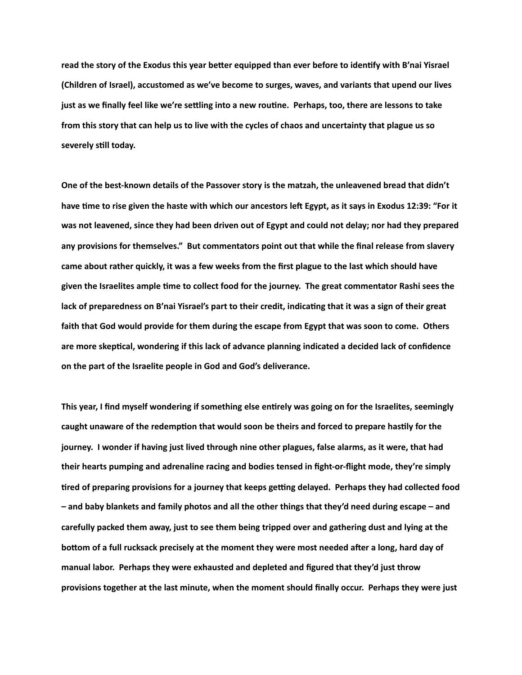read the story of the Exodus this year better equipped than ever before to identify with B'nai Yisrael **(Children of Israel), accustomed as we've become to surges, waves, and variants that upend our lives**  just as we finally feel like we're settling into a new routine. Perhaps, too, there are lessons to take **from this story that can help us to live with the cycles of chaos and uncertainty that plague us so**  severely still today.

**One of the best-known details of the Passover story is the matzah, the unleavened bread that didn't**  have time to rise given the haste with which our ancestors left Egypt, as it says in Exodus 12:39: "For it **was not leavened, since they had been driven out of Egypt and could not delay; nor had they prepared any provisions for themselves." But commentators point out that while the final release from slavery came about rather quickly, it was a few weeks from the first plague to the last which should have**  given the Israelites ample time to collect food for the journey. The great commentator Rashi sees the lack of preparedness on B'nai Yisrael's part to their credit, indicating that it was a sign of their great **faith that God would provide for them during the escape from Egypt that was soon to come. Others**  are more skeptical, wondering if this lack of advance planning indicated a decided lack of confidence **on the part of the Israelite people in God and God's deliverance.** 

This year, I find myself wondering if something else entirely was going on for the Israelites, seemingly caught unaware of the redemption that would soon be theirs and forced to prepare hastily for the **journey. I wonder if having just lived through nine other plagues, false alarms, as it were, that had their hearts pumping and adrenaline racing and bodies tensed in fight-or-flight mode, they're simply**  tired of preparing provisions for a journey that keeps getting delayed. Perhaps they had collected food **– and baby blankets and family photos and all the other things that they'd need during escape – and carefully packed them away, just to see them being tripped over and gathering dust and lying at the**  bottom of a full rucksack precisely at the moment they were most needed after a long, hard day of **manual labor. Perhaps they were exhausted and depleted and figured that they'd just throw provisions together at the last minute, when the moment should finally occur. Perhaps they were just**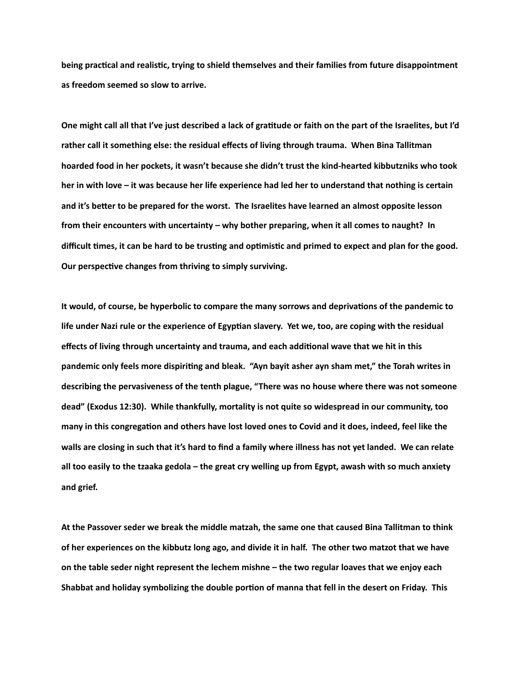being practical and realistic, trying to shield themselves and their families from future disappointment **as freedom seemed so slow to arrive.** 

One might call all that I've just described a lack of gratitude or faith on the part of the Israelites, but I'd **rather call it something else: the residual effects of living through trauma. When Bina Tallitman hoarded food in her pockets, it wasn't because she didn't trust the kind-hearted kibbutzniks who took her in with love – it was because her life experience had led her to understand that nothing is certain**  and it's better to be prepared for the worst. The Israelites have learned an almost opposite lesson **from their encounters with uncertainty – why bother preparing, when it all comes to naught? In**  difficult times, it can be hard to be trusting and optimistic and primed to expect and plan for the good. **Our perspective changes from thriving to simply surviving.** 

It would, of course, be hyperbolic to compare the many sorrows and deprivations of the pandemic to life under Nazi rule or the experience of Egyptian slavery. Yet we, too, are coping with the residual effects of living through uncertainty and trauma, and each additional wave that we hit in this pandemic only feels more dispiriting and bleak. "Ayn bayit asher ayn sham met," the Torah writes in **describing the pervasiveness of the tenth plague, "There was no house where there was not someone dead" (Exodus 12:30). While thankfully, mortality is not quite so widespread in our community, too**  many in this congregation and others have lost loved ones to Covid and it does, indeed, feel like the **walls are closing in such that it's hard to find a family where illness has not yet landed. We can relate all too easily to the tzaaka gedola – the great cry welling up from Egypt, awash with so much anxiety and grief.** 

**At the Passover seder we break the middle matzah, the same one that caused Bina Tallitman to think of her experiences on the kibbutz long ago, and divide it in half. The other two matzot that we have on the table seder night represent the lechem mishne – the two regular loaves that we enjoy each**  Shabbat and holiday symbolizing the double portion of manna that fell in the desert on Friday. This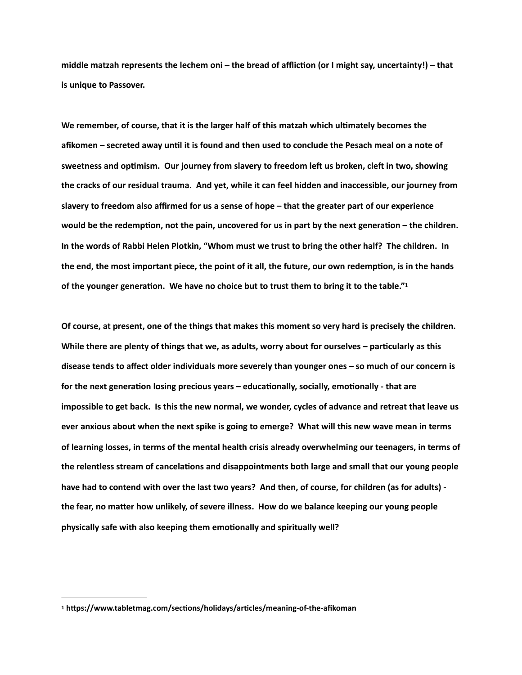middle matzah represents the lechem oni – the bread of affliction (or I might say, uncertainty!) – that **is unique to Passover.** 

We remember, of course, that it is the larger half of this matzah which ultimately becomes the afikomen - secreted away until it is found and then used to conclude the Pesach meal on a note of sweetness and optimism. Our journey from slavery to freedom left us broken, cleft in two, showing **the cracks of our residual trauma. And yet, while it can feel hidden and inaccessible, our journey from slavery to freedom also affirmed for us a sense of hope – that the greater part of our experience**  would be the redemption, not the pain, uncovered for us in part by the next generation – the children. **In the words of Rabbi Helen Plotkin, "Whom must we trust to bring the other half? The children. In**  the end, the most important piece, the point of it all, the future, our own redemption, is in the hands of the younger generation. We have no choice but to trust them to bring it to the table."<sup>1</sup>

<span id="page-3-1"></span>**Of course, at present, one of the things that makes this moment so very hard is precisely the children.**  While there are plenty of things that we, as adults, worry about for ourselves – particularly as this **disease tends to affect older individuals more severely than younger ones – so much of our concern is**  for the next generation losing precious years – educationally, socially, emotionally - that are **impossible to get back. Is this the new normal, we wonder, cycles of advance and retreat that leave us ever anxious about when the next spike is going to emerge? What will this new wave mean in terms of learning losses, in terms of the mental health crisis already overwhelming our teenagers, in terms of**  the relentless stream of cancelations and disappointments both large and small that our young people **have had to contend with over the last two years? And then, of course, for children (as for adults)**  the fear, no matter how unlikely, of severe illness. How do we balance keeping our young people **physically safe with also keeping them emotionally and spiritually well?** 

<span id="page-3-0"></span><sup>&</sup>lt;sup>[1](#page-3-1)</sup> https://www.tabletmag.com/sections/holidays/articles/meaning-of-the-afikoman